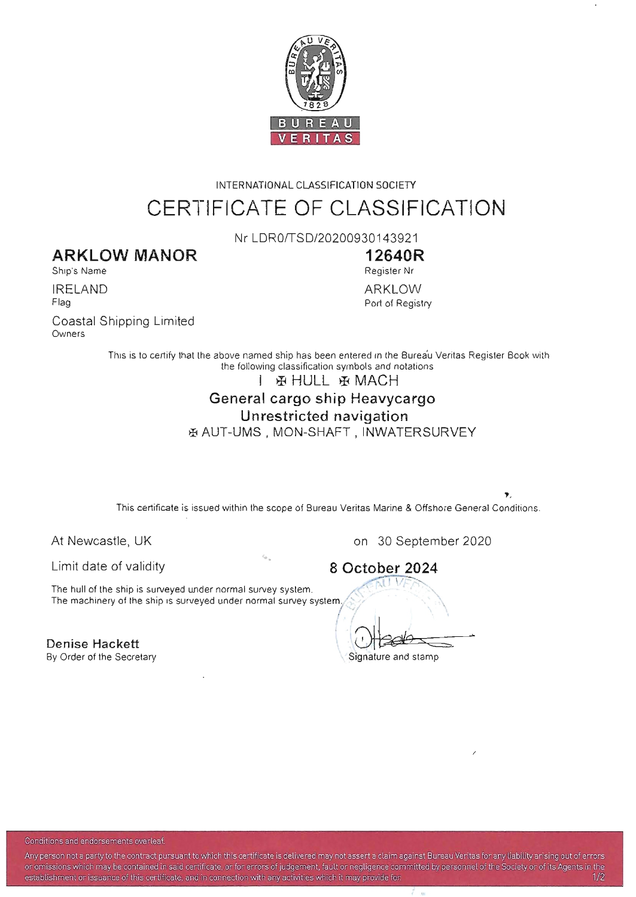

# INTERNATIONAL CLASSIFICATION SOCIETY CERTIFICATE OF CLASSIFICATION

Nr LDR0/TSD/20200930143921

### **ARKLOW MANOR**

Ship's Name

IRELAND Flag

Coastal Shipping Limited Owners

**12640R**  Register Nr ARKLOW Port of Registry

This is to certify that the above named ship has been entered in the Burea'u Veritas Register Book with the following classification symbols and notations

### I FINILL FAMACH

# General cargo ship Heavycargo

### Unrestricted navigation

**EXAUT-UMS, MON-SHAFT, INWATERSURVEY** 

This certificate is issued within the scope of Bureau Veritas Marine & Offshore General Conditions.

/

Limit date of validity

At Newcastle, UK on 30 September 2020<br>
Limit date of validity **8 October 2024**<br>
The hull of the ship is surveyed under normal survey system.<br>
The machinery of the ship is surveyed under normal survey system. The hull of the ship is surveyed under normal survey system. The machinery of the ship is surveyed under normal survey system.

Denise Hackett . the matrix  $\begin{pmatrix} 1 & 1 \ 1 & 1 \end{pmatrix}$  behind the matrix of  $\begin{pmatrix} 1 & 1 \ 1 & 1 \end{pmatrix}$ By Order of the Secretary Signature and stamp

8 October 2024

Conditions and endorsements overleaf

Any person not a party to the contract pursuant to which this certificate is delivered may not assert a claim against Bureau Veritas for any liability arising out of errors or omissions which may be contained in said certificate, or for errors of judgement, fault or negligence committed by personnel of the Society or of its Agents in the establishment or issuance of this certificate, and in connection with any activities which it may provide for 100 m 1/2